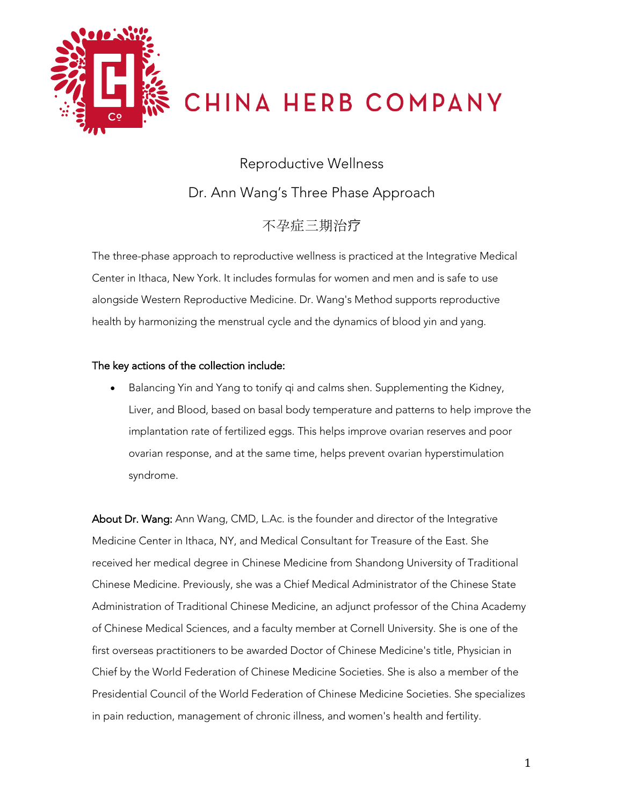

CHINA HERB COMPANY

Reproductive Wellness Dr. Ann Wang's Three Phase Approach

不孕症三期治疗

The three-phase approach to reproductive wellness is practiced at the Integrative Medical Center in Ithaca, New York. It includes formulas for women and men and is safe to use alongside Western Reproductive Medicine. Dr. Wang's Method supports reproductive health by harmonizing the menstrual cycle and the dynamics of blood yin and yang.

## The key actions of the collection include:

• Balancing Yin and Yang to tonify qi and calms shen. Supplementing the Kidney, Liver, and Blood, based on basal body temperature and patterns to help improve the implantation rate of fertilized eggs. This helps improve ovarian reserves and poor ovarian response, and at the same time, helps prevent ovarian hyperstimulation syndrome.

About Dr. Wang: Ann Wang, CMD, L.Ac. is the founder and director of the Integrative Medicine Center in Ithaca, NY, and Medical Consultant for Treasure of the East. She received her medical degree in Chinese Medicine from Shandong University of Traditional Chinese Medicine. Previously, she was a Chief Medical Administrator of the Chinese State Administration of Traditional Chinese Medicine, an adjunct professor of the China Academy of Chinese Medical Sciences, and a faculty member at Cornell University. She is one of the first overseas practitioners to be awarded Doctor of Chinese Medicine's title, Physician in Chief by the World Federation of Chinese Medicine Societies. She is also a member of the Presidential Council of the World Federation of Chinese Medicine Societies. She specializes in pain reduction, management of chronic illness, and women's health and fertility.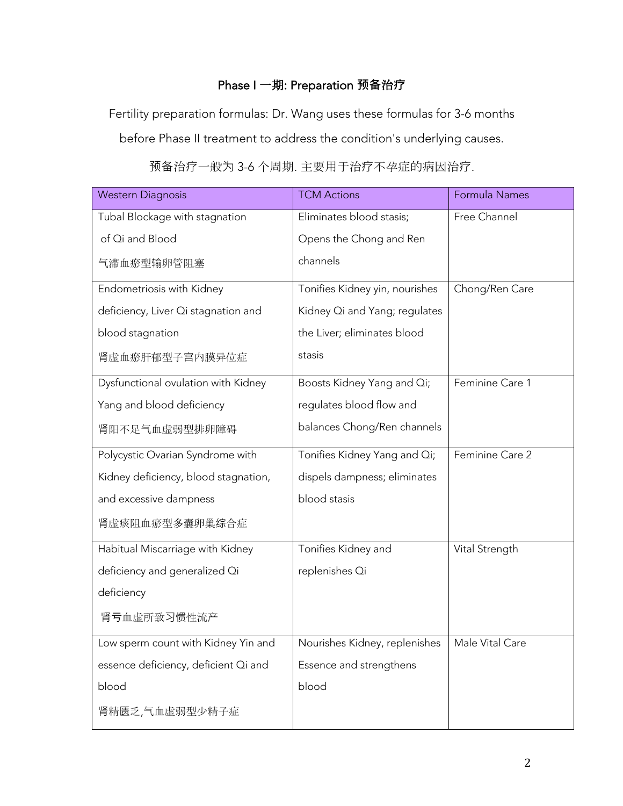## Phase I 一期: Preparation **预备**治**疗**

Fertility preparation formulas: Dr. Wang uses these formulas for 3-6 months

before Phase II treatment to address the condition's underlying causes.

| <b>Western Diagnosis</b>             | <b>TCM Actions</b>             | Formula Names   |
|--------------------------------------|--------------------------------|-----------------|
| Tubal Blockage with stagnation       | Eliminates blood stasis;       | Free Channel    |
| of Qi and Blood                      | Opens the Chong and Ren        |                 |
| 气滞血瘀型输卵管阻塞                           | channels                       |                 |
| Endometriosis with Kidney            | Tonifies Kidney yin, nourishes | Chong/Ren Care  |
| deficiency, Liver Qi stagnation and  | Kidney Qi and Yang; regulates  |                 |
| blood stagnation                     | the Liver; eliminates blood    |                 |
| 肾虚血瘀肝郁型子宫内膜异位症                       | stasis                         |                 |
| Dysfunctional ovulation with Kidney  | Boosts Kidney Yang and Qi;     | Feminine Care 1 |
| Yang and blood deficiency            | regulates blood flow and       |                 |
| 肾阳不足气血虚弱型排卵障碍                        | balances Chong/Ren channels    |                 |
| Polycystic Ovarian Syndrome with     | Tonifies Kidney Yang and Qi;   | Feminine Care 2 |
| Kidney deficiency, blood stagnation, | dispels dampness; eliminates   |                 |
| and excessive dampness               | blood stasis                   |                 |
| 肾虚痰阻血瘀型多囊卵巢综合症                       |                                |                 |
| Habitual Miscarriage with Kidney     | Tonifies Kidney and            | Vital Strength  |
| deficiency and generalized Qi        | replenishes Qi                 |                 |
| deficiency                           |                                |                 |
| 肾亏血虚所致习惯性流产                          |                                |                 |
| Low sperm count with Kidney Yin and  | Nourishes Kidney, replenishes  | Male Vital Care |
| essence deficiency, deficient Qi and | Essence and strengthens        |                 |
| blood                                | blood                          |                 |
| 肾精匮乏,气血虚弱型少精子症                       |                                |                 |

# 预备治疗一般为 3-6 个周期. 主要用于治疗不孕症的病因治疗.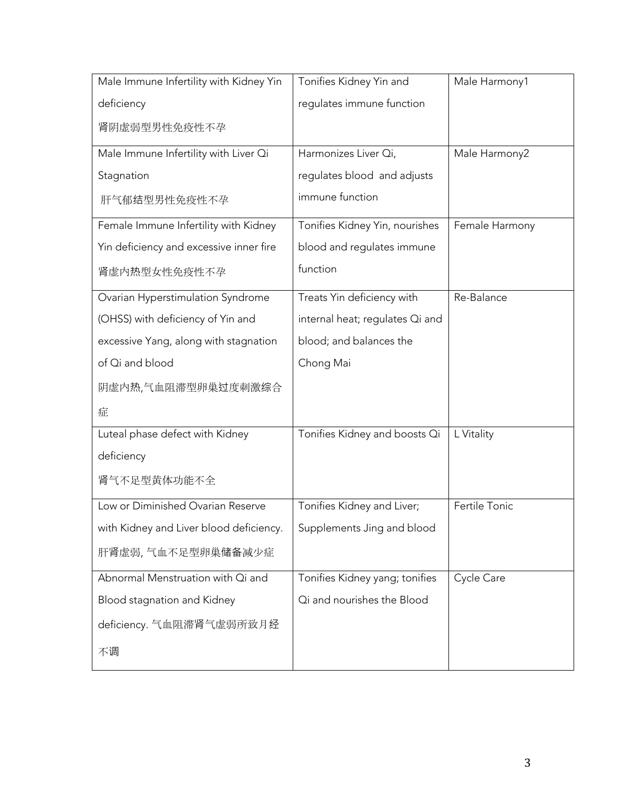| Male Immune Infertility with Kidney Yin | Tonifies Kidney Yin and         | Male Harmony1  |
|-----------------------------------------|---------------------------------|----------------|
| deficiency                              | regulates immune function       |                |
| 肾阴虚弱型男性免疫性不孕                            |                                 |                |
| Male Immune Infertility with Liver Qi   | Harmonizes Liver Qi,            | Male Harmony2  |
| Stagnation                              | regulates blood and adjusts     |                |
| 肝气郁结型男性免疫性不孕                            | immune function                 |                |
| Female Immune Infertility with Kidney   | Tonifies Kidney Yin, nourishes  | Female Harmony |
| Yin deficiency and excessive inner fire | blood and regulates immune      |                |
| 肾虚内热型女性免疫性不孕                            | function                        |                |
| Ovarian Hyperstimulation Syndrome       | Treats Yin deficiency with      | Re-Balance     |
| (OHSS) with deficiency of Yin and       | internal heat; regulates Qi and |                |
| excessive Yang, along with stagnation   | blood; and balances the         |                |
| of Qi and blood                         | Chong Mai                       |                |
| 阴虚内热,气血阻滞型卵巢过度刺激综合                      |                                 |                |
| 症                                       |                                 |                |
| Luteal phase defect with Kidney         | Tonifies Kidney and boosts Qi   | L Vitality     |
| deficiency                              |                                 |                |
| 肾气不足型黄体功能不全                             |                                 |                |
| Low or Diminished Ovarian Reserve       | Tonifies Kidney and Liver;      | Fertile Tonic  |
| with Kidney and Liver blood deficiency. | Supplements Jing and blood      |                |
| 肝肾虚弱,气血不足型卵巢储备减少症                       |                                 |                |
| Abnormal Menstruation with Qi and       | Tonifies Kidney yang; tonifies  | Cycle Care     |
| Blood stagnation and Kidney             | Qi and nourishes the Blood      |                |
| deficiency. 气血阻滞肾气虚弱所致月经                |                                 |                |
| 不调                                      |                                 |                |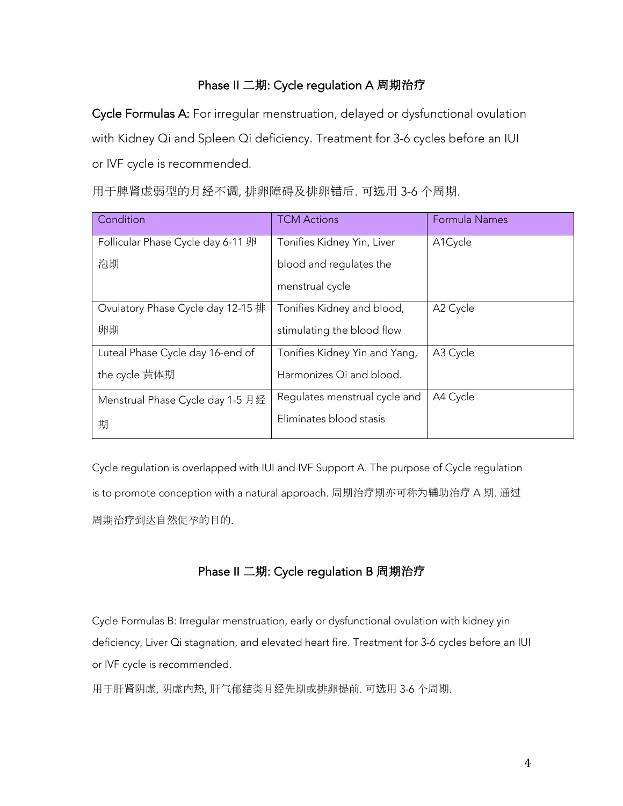## Phase II 二期: Cycle regulation A 周期治**疗**

Cycle Formulas A: For irregular menstruation, delayed or dysfunctional ovulation with Kidney Qi and Spleen Qi deficiency. Treatment for 3-6 cycles before an IUI or IVF cycle is recommended.

| Condition                         | <b>TCM Actions</b>            | Formula Names |
|-----------------------------------|-------------------------------|---------------|
| Follicular Phase Cycle day 6-11 卵 | Tonifies Kidney Yin, Liver    | A1Cycle       |
| 泡期                                | blood and regulates the       |               |
|                                   | menstrual cycle               |               |
| Ovulatory Phase Cycle day 12-15 排 | Tonifies Kidney and blood,    | A2 Cycle      |
| 卵期                                | stimulating the blood flow    |               |
| Luteal Phase Cycle day 16-end of  | Tonifies Kidney Yin and Yang, | A3 Cycle      |
| the cycle 黄体期                     | Harmonizes Qi and blood.      |               |
| Menstrual Phase Cycle day 1-5 月经  | Regulates menstrual cycle and | A4 Cycle      |
| 期                                 | Eliminates blood stasis       |               |

用于脾肾虚弱型的月经不调, 排卵障碍及排卵错后. 可选用 3-6 个周期.

Cycle regulation is overlapped with IUI and IVF Support A. The purpose of Cycle regulation is to promote conception with a natural approach. 周期治疗期亦可称为辅助治疗 A 期. 通过 周期治疗到达自然促孕的目的.

## Phase II 二期: Cycle regulation B 周期治**疗**

Cycle Formulas B: Irregular menstruation, early or dysfunctional ovulation with kidney yin deficiency, Liver Qi stagnation, and elevated heart fire. Treatment for 3-6 cycles before an IUI or IVF cycle is recommended.

用于肝肾阴虚, 阴虚内热, 肝气郁结类月经先期或排卵提前. 可选用 3-6 个周期.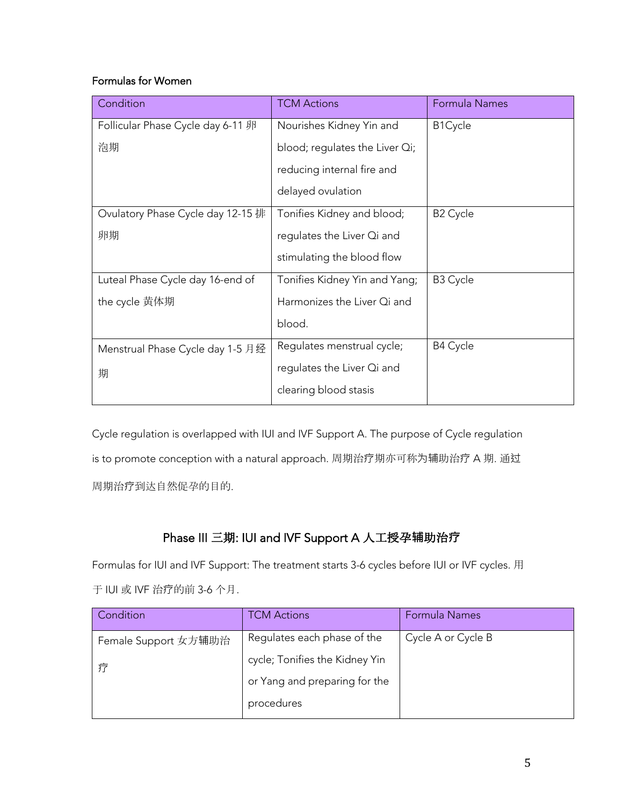## Formulas for Women

| Condition                         | <b>TCM Actions</b>                 | Formula Names   |
|-----------------------------------|------------------------------------|-----------------|
| Follicular Phase Cycle day 6-11 卵 | Nourishes Kidney Yin and           | B1Cycle         |
| 泡期                                | blood; regulates the Liver $Q_i$ ; |                 |
|                                   | reducing internal fire and         |                 |
|                                   | delayed ovulation                  |                 |
| Ovulatory Phase Cycle day 12-15 排 | Tonifies Kidney and blood;         | <b>B2 Cycle</b> |
| 卵期                                | regulates the Liver Qi and         |                 |
|                                   | stimulating the blood flow         |                 |
| Luteal Phase Cycle day 16-end of  | Tonifies Kidney Yin and Yang;      | B3 Cycle        |
| the cycle 黄体期                     | Harmonizes the Liver Qi and        |                 |
|                                   | blood.                             |                 |
| Menstrual Phase Cycle day 1-5 月经  | Regulates menstrual cycle;         | B4 Cycle        |
| 期                                 | regulates the Liver Qi and         |                 |
|                                   | clearing blood stasis              |                 |

Cycle regulation is overlapped with IUI and IVF Support A. The purpose of Cycle regulation is to promote conception with a natural approach. 周期治疗期亦可称为辅助治疗 A 期. 通过 周期治疗到达自然促孕的目的.

## Phase III 三期: IUI and IVF Support A 人工授孕**辅**助治**疗**

Formulas for IUI and IVF Support: The treatment starts 3-6 cycles before IUI or IVF cycles. 用 于 IUI 或 IVF 治疗的前 3-6 个月.

| Condition            | TCM Actions                    | Formula Names      |
|----------------------|--------------------------------|--------------------|
| Female Support 女方辅助治 | Regulates each phase of the    | Cycle A or Cycle B |
|                      | cycle; Tonifies the Kidney Yin |                    |
|                      | or Yang and preparing for the  |                    |
|                      | procedures                     |                    |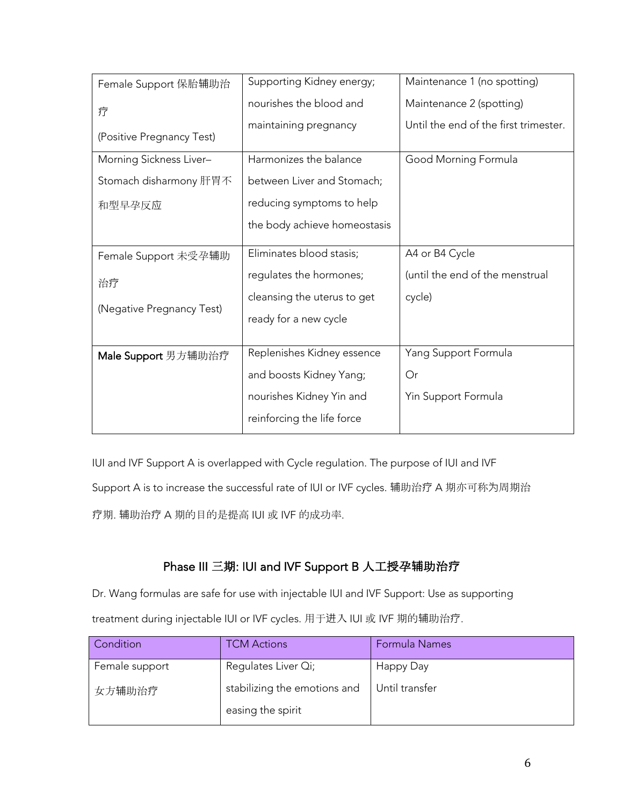| Female Support 保胎辅助治      | Supporting Kidney energy;    | Maintenance 1 (no spotting)           |
|---------------------------|------------------------------|---------------------------------------|
| 疗                         | nourishes the blood and      | Maintenance 2 (spotting)              |
|                           | maintaining pregnancy        | Until the end of the first trimester. |
| (Positive Pregnancy Test) |                              |                                       |
| Morning Sickness Liver-   | Harmonizes the balance       | Good Morning Formula                  |
| Stomach disharmony 肝胃不    | between Liver and Stomach;   |                                       |
| 和型早孕反应                    | reducing symptoms to help    |                                       |
|                           | the body achieve homeostasis |                                       |
|                           |                              |                                       |
| Female Support 未受孕辅助      | Eliminates blood stasis;     | A4 or B4 Cycle                        |
| 治疗                        | regulates the hormones;      | (until the end of the menstrual       |
|                           | cleansing the uterus to get  | cycle)                                |
| (Negative Pregnancy Test) | ready for a new cycle        |                                       |
|                           |                              |                                       |
| Male Support 男方辅助治疗       | Replenishes Kidney essence   | Yang Support Formula                  |
|                           | and boosts Kidney Yang;      | Or                                    |
|                           | nourishes Kidney Yin and     | Yin Support Formula                   |
|                           | reinforcing the life force   |                                       |

IUI and IVF Support A is overlapped with Cycle regulation. The purpose of IUI and IVF

Support A is to increase the successful rate of IUI or IVF cycles. 辅助治疗 A 期亦可称为周期治

疗期. 辅助治疗 A 期的目的是提高 IUI 或 IVF 的成功率.

# Phase III 三期: IUI and IVF Support B 人工授孕**辅**助治**疗**

Dr. Wang formulas are safe for use with injectable IUI and IVF Support: Use as supporting treatment during injectable IUI or IVF cycles. 用于进入 IUI 或 IVF 期的辅助治疗.

| Condition      | <b>TCM Actions</b>                                | Formula Names  |
|----------------|---------------------------------------------------|----------------|
| Female support | Regulates Liver Qi;                               | Happy Day      |
| 女方辅助治疗         | stabilizing the emotions and<br>easing the spirit | Until transfer |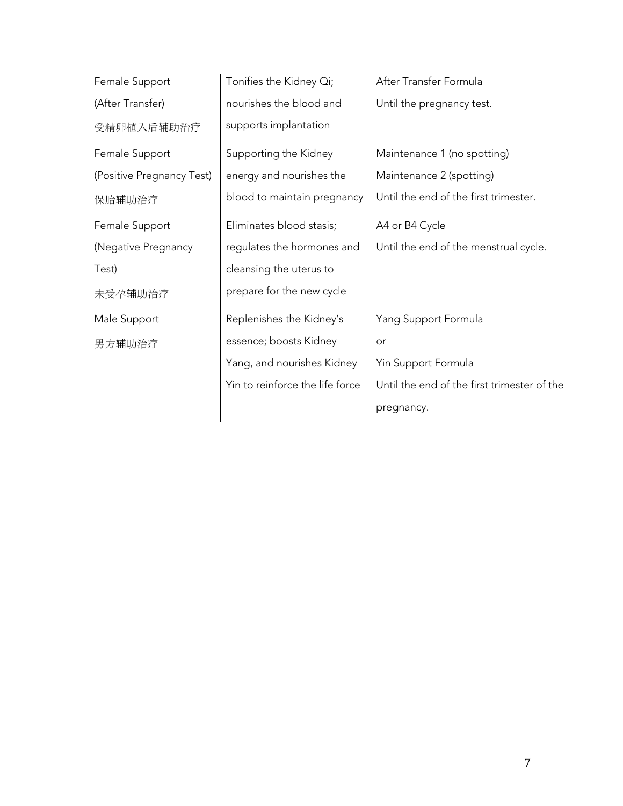| Female Support            | Tonifies the Kidney Qi;         | After Transfer Formula                      |
|---------------------------|---------------------------------|---------------------------------------------|
| (After Transfer)          | nourishes the blood and         | Until the pregnancy test.                   |
| 受精卵植入后辅助治疗                | supports implantation           |                                             |
| Female Support            | Supporting the Kidney           | Maintenance 1 (no spotting)                 |
| (Positive Pregnancy Test) | energy and nourishes the        | Maintenance 2 (spotting)                    |
| 保胎辅助治疗                    | blood to maintain pregnancy     | Until the end of the first trimester.       |
| Female Support            | Eliminates blood stasis;        | A4 or B4 Cycle                              |
| (Negative Pregnancy       | regulates the hormones and      | Until the end of the menstrual cycle.       |
| Test)                     | cleansing the uterus to         |                                             |
| 未受孕辅助治疗                   | prepare for the new cycle       |                                             |
| Male Support              | Replenishes the Kidney's        | Yang Support Formula                        |
| 男方辅助治疗                    | essence; boosts Kidney          | or                                          |
|                           | Yang, and nourishes Kidney      | Yin Support Formula                         |
|                           | Yin to reinforce the life force | Until the end of the first trimester of the |
|                           |                                 | pregnancy.                                  |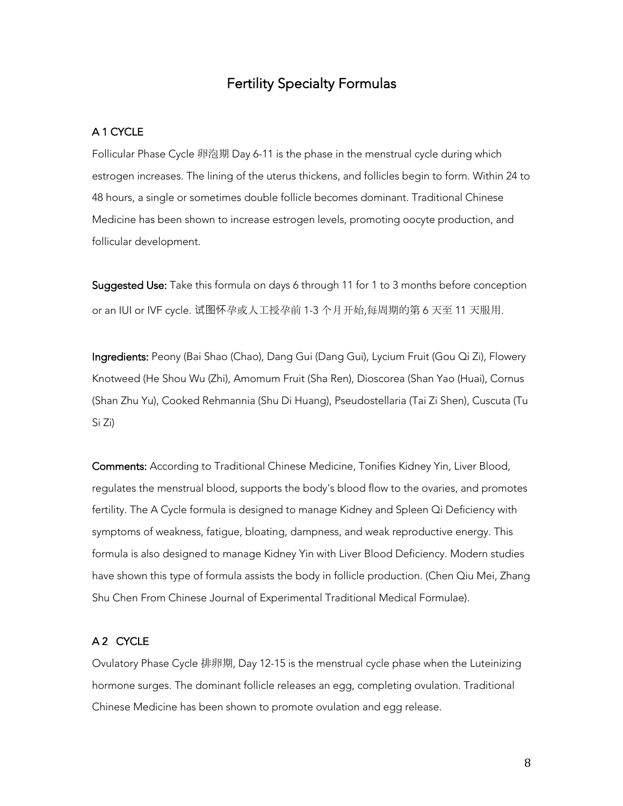## Fertility Specialty Formulas

## A 1 CYCLE

Follicular Phase Cycle 卵泡期 Day 6-11 is the phase in the menstrual cycle during which estrogen increases. The lining of the uterus thickens, and follicles begin to form. Within 24 to 48 hours, a single or sometimes double follicle becomes dominant. Traditional Chinese Medicine has been shown to increase estrogen levels, promoting oocyte production, and follicular development.

Suggested Use: Take this formula on days 6 through 11 for 1 to 3 months before conception or an IUI or IVF cycle. 试图怀孕或人工授孕前 1-3 个月开始,每周期的第 6 天至 11 天服用.

Ingredients: Peony (Bai Shao (Chao), Dang Gui (Dang Gui), Lycium Fruit (Gou Qi Zi), Flowery Knotweed (He Shou Wu (Zhi), Amomum Fruit (Sha Ren), Dioscorea (Shan Yao (Huai), Cornus (Shan Zhu Yu), Cooked Rehmannia (Shu Di Huang), Pseudostellaria (Tai Zi Shen), Cuscuta (Tu Si Zi)

Comments: According to Traditional Chinese Medicine, Tonifies Kidney Yin, Liver Blood, regulates the menstrual blood, supports the body's blood flow to the ovaries, and promotes fertility. The A Cycle formula is designed to manage Kidney and Spleen Qi Deficiency with symptoms of weakness, fatigue, bloating, dampness, and weak reproductive energy. This formula is also designed to manage Kidney Yin with Liver Blood Deficiency. Modern studies have shown this type of formula assists the body in follicle production. (Chen Qiu Mei, Zhang Shu Chen From Chinese Journal of Experimental Traditional Medical Formulae).

## A 2 CYCLE

Ovulatory Phase Cycle 排卵期, Day 12-15 is the menstrual cycle phase when the Luteinizing hormone surges. The dominant follicle releases an egg, completing ovulation. Traditional Chinese Medicine has been shown to promote ovulation and egg release.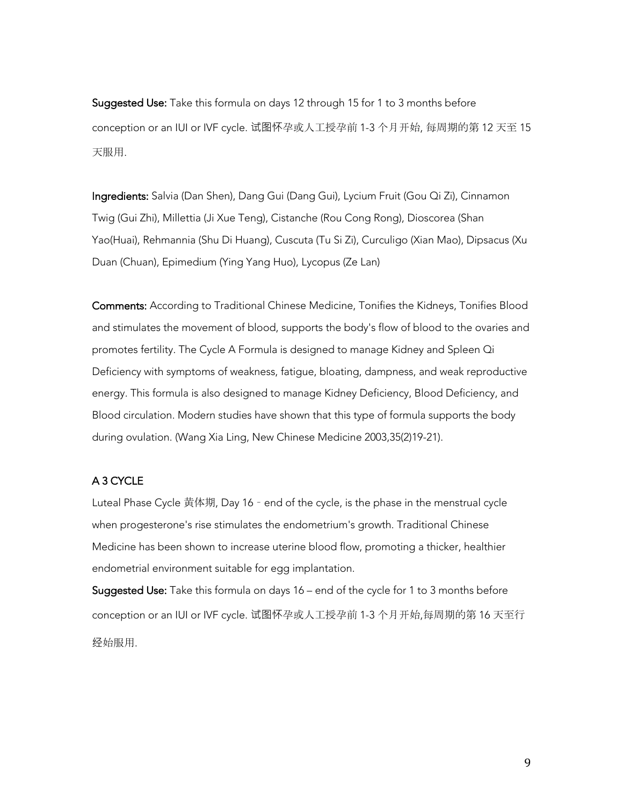Suggested Use: Take this formula on days 12 through 15 for 1 to 3 months before conception or an IUI or IVF cycle. 试图怀孕或人工授孕前 1-3 个月开始, 每周期的第 12 天至 15 天服用.

Ingredients: Salvia (Dan Shen), Dang Gui (Dang Gui), Lycium Fruit (Gou Qi Zi), Cinnamon Twig (Gui Zhi), Millettia (Ji Xue Teng), Cistanche (Rou Cong Rong), Dioscorea (Shan Yao(Huai), Rehmannia (Shu Di Huang), Cuscuta (Tu Si Zi), Curculigo (Xian Mao), Dipsacus (Xu Duan (Chuan), Epimedium (Ying Yang Huo), Lycopus (Ze Lan)

Comments: According to Traditional Chinese Medicine, Tonifies the Kidneys, Tonifies Blood and stimulates the movement of blood, supports the body's flow of blood to the ovaries and promotes fertility. The Cycle A Formula is designed to manage Kidney and Spleen Qi Deficiency with symptoms of weakness, fatigue, bloating, dampness, and weak reproductive energy. This formula is also designed to manage Kidney Deficiency, Blood Deficiency, and Blood circulation. Modern studies have shown that this type of formula supports the body during ovulation. (Wang Xia Ling, New Chinese Medicine 2003,35(2)19-21).

## A 3 CYCLE

Luteal Phase Cycle 黄体期, Day 16 – end of the cycle, is the phase in the menstrual cycle when progesterone's rise stimulates the endometrium's growth. Traditional Chinese Medicine has been shown to increase uterine blood flow, promoting a thicker, healthier endometrial environment suitable for egg implantation.

Suggested Use: Take this formula on days 16 – end of the cycle for 1 to 3 months before conception or an IUI or IVF cycle. 试图怀孕或人工授孕前 1-3 个月开始,每周期的第 16 天至行 经始服用.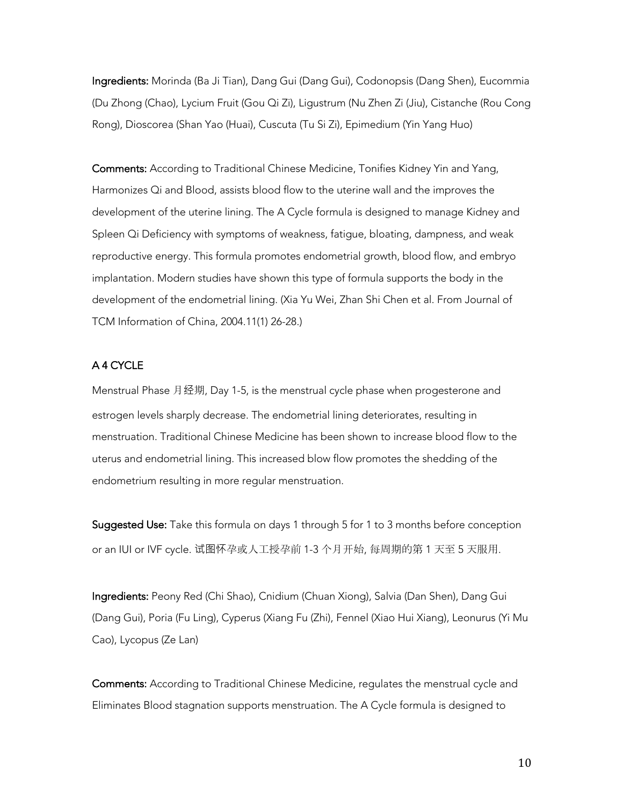Ingredients: Morinda (Ba Ji Tian), Dang Gui (Dang Gui), Codonopsis (Dang Shen), Eucommia (Du Zhong (Chao), Lycium Fruit (Gou Qi Zi), Ligustrum (Nu Zhen Zi (Jiu), Cistanche (Rou Cong Rong), Dioscorea (Shan Yao (Huai), Cuscuta (Tu Si Zi), Epimedium (Yin Yang Huo)

Comments: According to Traditional Chinese Medicine, Tonifies Kidney Yin and Yang, Harmonizes Qi and Blood, assists blood flow to the uterine wall and the improves the development of the uterine lining. The A Cycle formula is designed to manage Kidney and Spleen Qi Deficiency with symptoms of weakness, fatigue, bloating, dampness, and weak reproductive energy. This formula promotes endometrial growth, blood flow, and embryo implantation. Modern studies have shown this type of formula supports the body in the development of the endometrial lining. (Xia Yu Wei, Zhan Shi Chen et al. From Journal of TCM Information of China, 2004.11(1) 26-28.)

## A 4 CYCLE

Menstrual Phase 月经期, Day 1-5, is the menstrual cycle phase when progesterone and estrogen levels sharply decrease. The endometrial lining deteriorates, resulting in menstruation. Traditional Chinese Medicine has been shown to increase blood flow to the uterus and endometrial lining. This increased blow flow promotes the shedding of the endometrium resulting in more regular menstruation.

Suggested Use: Take this formula on days 1 through 5 for 1 to 3 months before conception or an IUI or IVF cycle. 试图怀孕或人工授孕前 1-3 个月开始, 每周期的第 1 天至 5 天服用.

Ingredients: Peony Red (Chi Shao), Cnidium (Chuan Xiong), Salvia (Dan Shen), Dang Gui (Dang Gui), Poria (Fu Ling), Cyperus (Xiang Fu (Zhi), Fennel (Xiao Hui Xiang), Leonurus (Yi Mu Cao), Lycopus (Ze Lan)

Comments: According to Traditional Chinese Medicine, regulates the menstrual cycle and Eliminates Blood stagnation supports menstruation. The A Cycle formula is designed to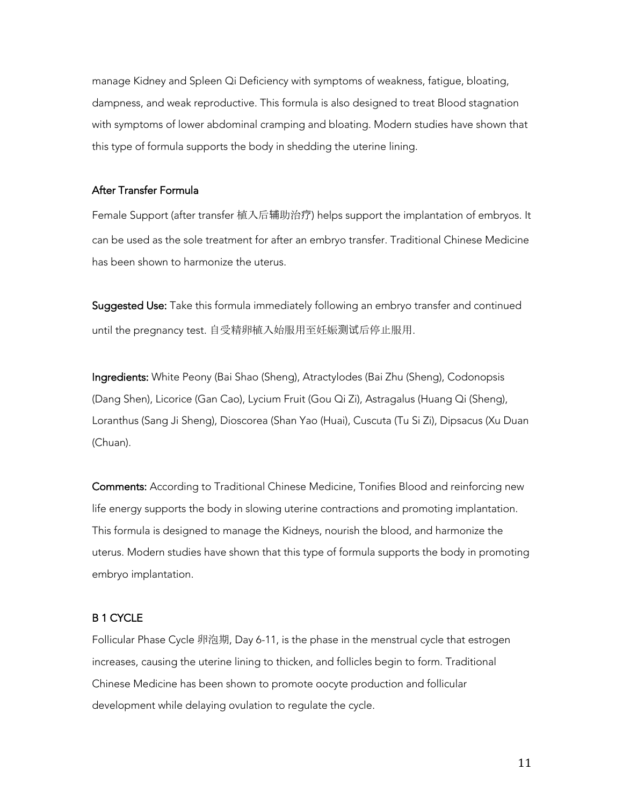manage Kidney and Spleen Qi Deficiency with symptoms of weakness, fatigue, bloating, dampness, and weak reproductive. This formula is also designed to treat Blood stagnation with symptoms of lower abdominal cramping and bloating. Modern studies have shown that this type of formula supports the body in shedding the uterine lining.

### After Transfer Formula

Female Support (after transfer 植入后辅助治疗) helps support the implantation of embryos. It can be used as the sole treatment for after an embryo transfer. Traditional Chinese Medicine has been shown to harmonize the uterus.

Suggested Use: Take this formula immediately following an embryo transfer and continued until the pregnancy test. 自受精卵植入始服用至妊娠测试后停止服用.

Ingredients: White Peony (Bai Shao (Sheng), Atractylodes (Bai Zhu (Sheng), Codonopsis (Dang Shen), Licorice (Gan Cao), Lycium Fruit (Gou Qi Zi), Astragalus (Huang Qi (Sheng), Loranthus (Sang Ji Sheng), Dioscorea (Shan Yao (Huai), Cuscuta (Tu Si Zi), Dipsacus (Xu Duan (Chuan).

Comments: According to Traditional Chinese Medicine, Tonifies Blood and reinforcing new life energy supports the body in slowing uterine contractions and promoting implantation. This formula is designed to manage the Kidneys, nourish the blood, and harmonize the uterus. Modern studies have shown that this type of formula supports the body in promoting embryo implantation.

## B 1 CYCLE

Follicular Phase Cycle 卵泡期, Day 6-11, is the phase in the menstrual cycle that estrogen increases, causing the uterine lining to thicken, and follicles begin to form. Traditional Chinese Medicine has been shown to promote oocyte production and follicular development while delaying ovulation to regulate the cycle.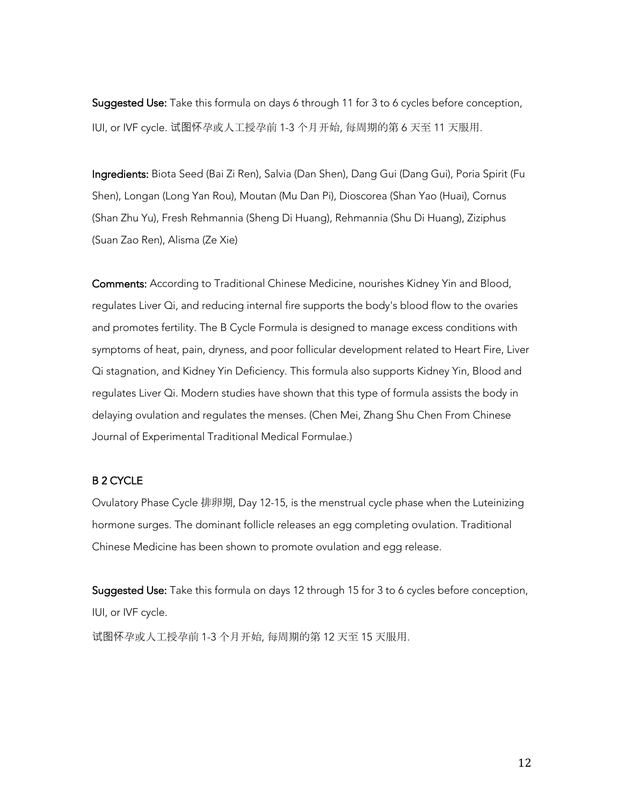Suggested Use: Take this formula on days 6 through 11 for 3 to 6 cycles before conception, IUI, or IVF cycle. 试图怀孕或人工授孕前 1-3 个月开始, 每周期的第 6 天至 11 天服用.

Ingredients: Biota Seed (Bai Zi Ren), Salvia (Dan Shen), Dang Gui (Dang Gui), Poria Spirit (Fu Shen), Longan (Long Yan Rou), Moutan (Mu Dan Pi), Dioscorea (Shan Yao (Huai), Cornus (Shan Zhu Yu), Fresh Rehmannia (Sheng Di Huang), Rehmannia (Shu Di Huang), Ziziphus (Suan Zao Ren), Alisma (Ze Xie)

Comments: According to Traditional Chinese Medicine, nourishes Kidney Yin and Blood, regulates Liver Qi, and reducing internal fire supports the body's blood flow to the ovaries and promotes fertility. The B Cycle Formula is designed to manage excess conditions with symptoms of heat, pain, dryness, and poor follicular development related to Heart Fire, Liver Qi stagnation, and Kidney Yin Deficiency. This formula also supports Kidney Yin, Blood and regulates Liver Qi. Modern studies have shown that this type of formula assists the body in delaying ovulation and regulates the menses. (Chen Mei, Zhang Shu Chen From Chinese Journal of Experimental Traditional Medical Formulae.)

### B 2 CYCLE

Ovulatory Phase Cycle 排卵期, Day 12-15, is the menstrual cycle phase when the Luteinizing hormone surges. The dominant follicle releases an egg completing ovulation. Traditional Chinese Medicine has been shown to promote ovulation and egg release.

Suggested Use: Take this formula on days 12 through 15 for 3 to 6 cycles before conception, IUI, or IVF cycle. 试图怀孕或人工授孕前 1-3 个月开始, 每周期的第 12 天至 15 天服用.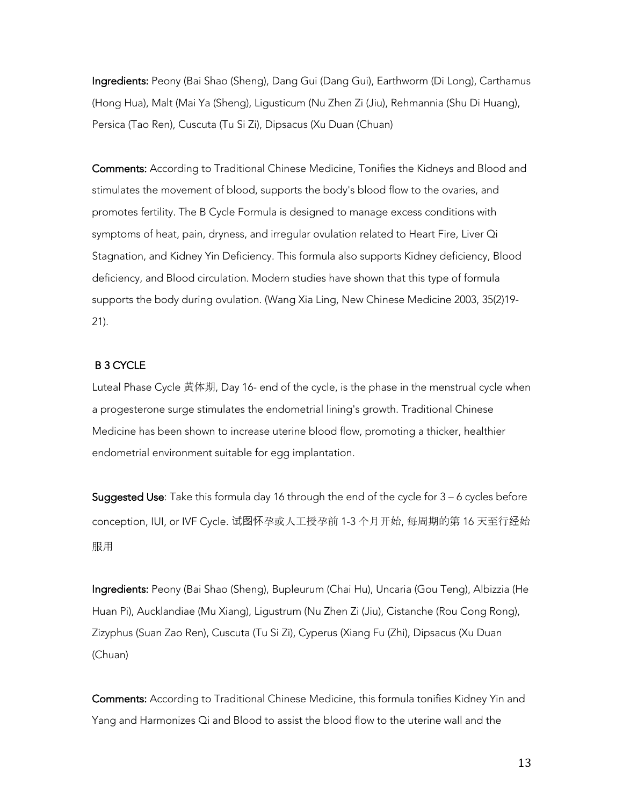Ingredients: Peony (Bai Shao (Sheng), Dang Gui (Dang Gui), Earthworm (Di Long), Carthamus (Hong Hua), Malt (Mai Ya (Sheng), Ligusticum (Nu Zhen Zi (Jiu), Rehmannia (Shu Di Huang), Persica (Tao Ren), Cuscuta (Tu Si Zi), Dipsacus (Xu Duan (Chuan)

Comments: According to Traditional Chinese Medicine, Tonifies the Kidneys and Blood and stimulates the movement of blood, supports the body's blood flow to the ovaries, and promotes fertility. The B Cycle Formula is designed to manage excess conditions with symptoms of heat, pain, dryness, and irregular ovulation related to Heart Fire, Liver Qi Stagnation, and Kidney Yin Deficiency. This formula also supports Kidney deficiency, Blood deficiency, and Blood circulation. Modern studies have shown that this type of formula supports the body during ovulation. (Wang Xia Ling, New Chinese Medicine 2003, 35(2)19- 21).

### B 3 CYCLE

Luteal Phase Cycle 黄体期, Day 16- end of the cycle, is the phase in the menstrual cycle when a progesterone surge stimulates the endometrial lining's growth. Traditional Chinese Medicine has been shown to increase uterine blood flow, promoting a thicker, healthier endometrial environment suitable for egg implantation.

Suggested Use: Take this formula day 16 through the end of the cycle for 3 – 6 cycles before conception, IUI, or IVF Cycle. 试图怀孕或人工授孕前 1-3 个月开始, 每周期的第 16 天至行经始 服用

Ingredients: Peony (Bai Shao (Sheng), Bupleurum (Chai Hu), Uncaria (Gou Teng), Albizzia (He Huan Pi), Aucklandiae (Mu Xiang), Ligustrum (Nu Zhen Zi (Jiu), Cistanche (Rou Cong Rong), Zizyphus (Suan Zao Ren), Cuscuta (Tu Si Zi), Cyperus (Xiang Fu (Zhi), Dipsacus (Xu Duan (Chuan)

Comments: According to Traditional Chinese Medicine, this formula tonifies Kidney Yin and Yang and Harmonizes Qi and Blood to assist the blood flow to the uterine wall and the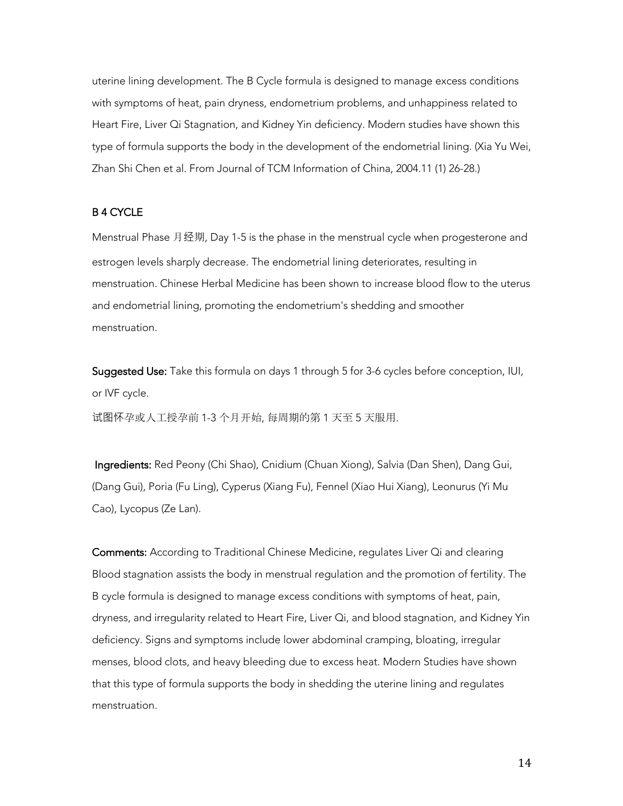uterine lining development. The B Cycle formula is designed to manage excess conditions with symptoms of heat, pain dryness, endometrium problems, and unhappiness related to Heart Fire, Liver Qi Stagnation, and Kidney Yin deficiency. Modern studies have shown this type of formula supports the body in the development of the endometrial lining. (Xia Yu Wei, Zhan Shi Chen et al. From Journal of TCM Information of China, 2004.11 (1) 26-28.)

## B 4 CYCLE

Menstrual Phase 月经期, Day 1-5 is the phase in the menstrual cycle when progesterone and estrogen levels sharply decrease. The endometrial lining deteriorates, resulting in menstruation. Chinese Herbal Medicine has been shown to increase blood flow to the uterus and endometrial lining, promoting the endometrium's shedding and smoother menstruation.

Suggested Use: Take this formula on days 1 through 5 for 3-6 cycles before conception, IUI, or IVF cycle.

试图怀孕或人工授孕前 1-3 个月开始, 每周期的第 1 天至 5 天服用.

 Ingredients: Red Peony (Chi Shao), Cnidium (Chuan Xiong), Salvia (Dan Shen), Dang Gui, (Dang Gui), Poria (Fu Ling), Cyperus (Xiang Fu), Fennel (Xiao Hui Xiang), Leonurus (Yi Mu Cao), Lycopus (Ze Lan).

Comments: According to Traditional Chinese Medicine, regulates Liver Qi and clearing Blood stagnation assists the body in menstrual regulation and the promotion of fertility. The B cycle formula is designed to manage excess conditions with symptoms of heat, pain, dryness, and irregularity related to Heart Fire, Liver Qi, and blood stagnation, and Kidney Yin deficiency. Signs and symptoms include lower abdominal cramping, bloating, irregular menses, blood clots, and heavy bleeding due to excess heat. Modern Studies have shown that this type of formula supports the body in shedding the uterine lining and regulates menstruation.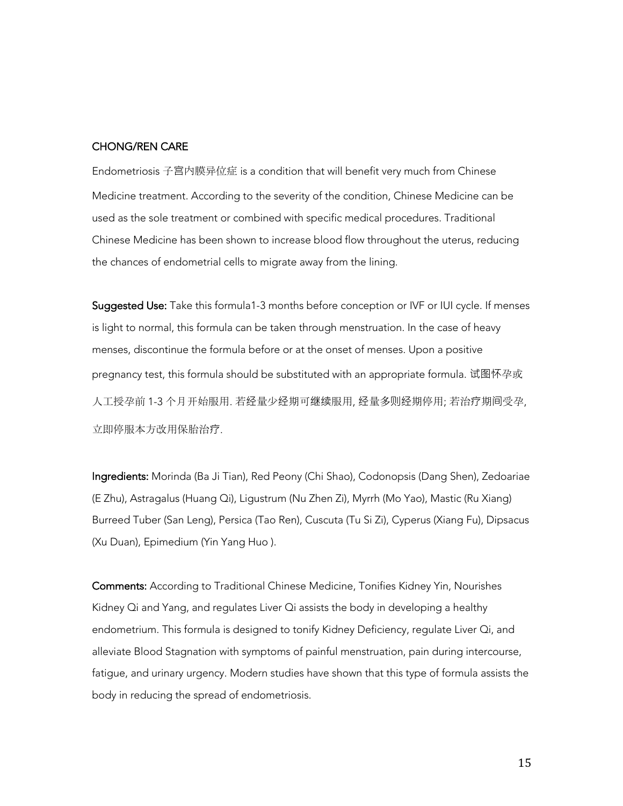## CHONG/REN CARE

Endometriosis 子宫内膜异位症 is a condition that will benefit very much from Chinese Medicine treatment. According to the severity of the condition, Chinese Medicine can be used as the sole treatment or combined with specific medical procedures. Traditional Chinese Medicine has been shown to increase blood flow throughout the uterus, reducing the chances of endometrial cells to migrate away from the lining.

Suggested Use: Take this formula1-3 months before conception or IVF or IUI cycle. If menses is light to normal, this formula can be taken through menstruation. In the case of heavy menses, discontinue the formula before or at the onset of menses. Upon a positive pregnancy test, this formula should be substituted with an appropriate formula. 试图怀孕或 人工授孕前 1-3 个月开始服用. 若经量少经期可继续服用, 经量多则经期停用; 若治疗期间受孕, 立即停服本方改用保胎治疗.

Ingredients: Morinda (Ba Ji Tian), Red Peony (Chi Shao), Codonopsis (Dang Shen), Zedoariae (E Zhu), Astragalus (Huang Qi), Ligustrum (Nu Zhen Zi), Myrrh (Mo Yao), Mastic (Ru Xiang) Burreed Tuber (San Leng), Persica (Tao Ren), Cuscuta (Tu Si Zi), Cyperus (Xiang Fu), Dipsacus (Xu Duan), Epimedium (Yin Yang Huo ).

Comments: According to Traditional Chinese Medicine, Tonifies Kidney Yin, Nourishes Kidney Qi and Yang, and regulates Liver Qi assists the body in developing a healthy endometrium. This formula is designed to tonify Kidney Deficiency, regulate Liver Qi, and alleviate Blood Stagnation with symptoms of painful menstruation, pain during intercourse, fatigue, and urinary urgency. Modern studies have shown that this type of formula assists the body in reducing the spread of endometriosis.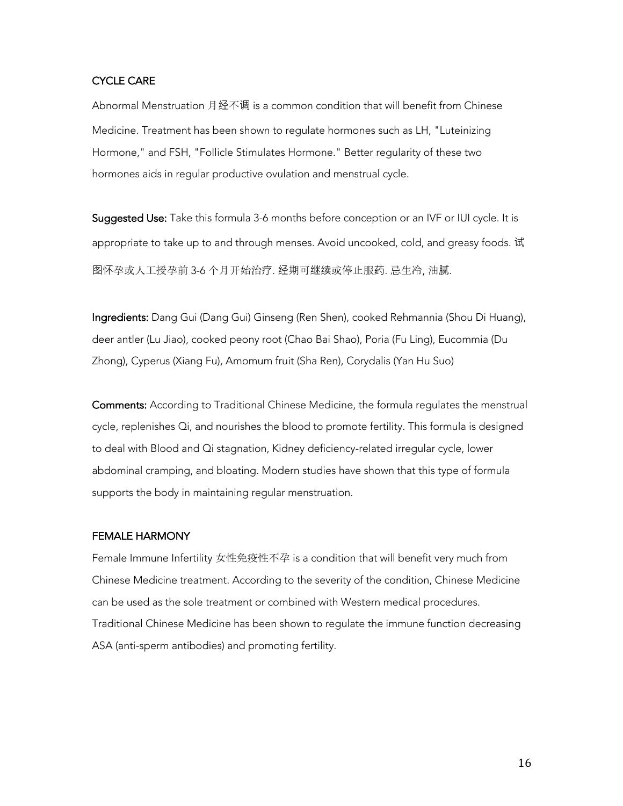### CYCLE CARE

Abnormal Menstruation 月经不调 is a common condition that will benefit from Chinese Medicine. Treatment has been shown to regulate hormones such as LH, "Luteinizing Hormone," and FSH, "Follicle Stimulates Hormone." Better regularity of these two hormones aids in regular productive ovulation and menstrual cycle.

Suggested Use: Take this formula 3-6 months before conception or an IVF or IUI cycle. It is appropriate to take up to and through menses. Avoid uncooked, cold, and greasy foods. 试 图怀孕或人工授孕前 3-6 个月开始治疗. 经期可继续或停止服药. 忌生冷, 油腻.

Ingredients: Dang Gui (Dang Gui) Ginseng (Ren Shen), cooked Rehmannia (Shou Di Huang), deer antler (Lu Jiao), cooked peony root (Chao Bai Shao), Poria (Fu Ling), Eucommia (Du Zhong), Cyperus (Xiang Fu), Amomum fruit (Sha Ren), Corydalis (Yan Hu Suo)

Comments: According to Traditional Chinese Medicine, the formula regulates the menstrual cycle, replenishes Qi, and nourishes the blood to promote fertility. This formula is designed to deal with Blood and Qi stagnation, Kidney deficiency-related irregular cycle, lower abdominal cramping, and bloating. Modern studies have shown that this type of formula supports the body in maintaining regular menstruation.

#### FEMALE HARMONY

Female Immune Infertility 女性免疫性不孕 is a condition that will benefit very much from Chinese Medicine treatment. According to the severity of the condition, Chinese Medicine can be used as the sole treatment or combined with Western medical procedures. Traditional Chinese Medicine has been shown to regulate the immune function decreasing ASA (anti-sperm antibodies) and promoting fertility.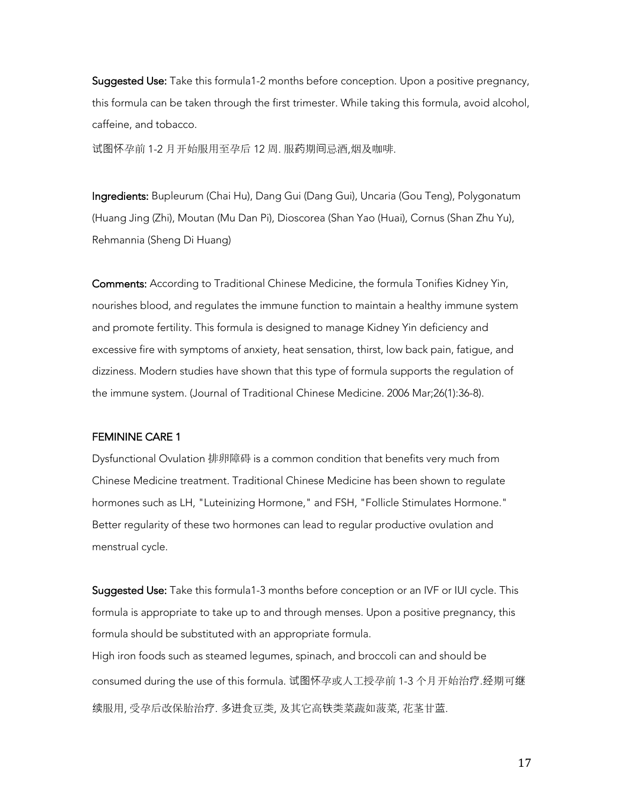Suggested Use: Take this formula1-2 months before conception. Upon a positive pregnancy, this formula can be taken through the first trimester. While taking this formula, avoid alcohol, caffeine, and tobacco.

试图怀孕前 1-2 月开始服用至孕后 12 周. 服药期间忌酒,烟及咖啡.

Ingredients: Bupleurum (Chai Hu), Dang Gui (Dang Gui), Uncaria (Gou Teng), Polygonatum (Huang Jing (Zhi), Moutan (Mu Dan Pi), Dioscorea (Shan Yao (Huai), Cornus (Shan Zhu Yu), Rehmannia (Sheng Di Huang)

Comments: According to Traditional Chinese Medicine, the formula Tonifies Kidney Yin, nourishes blood, and regulates the immune function to maintain a healthy immune system and promote fertility. This formula is designed to manage Kidney Yin deficiency and excessive fire with symptoms of anxiety, heat sensation, thirst, low back pain, fatigue, and dizziness. Modern studies have shown that this type of formula supports the regulation of the immune system. (Journal of Traditional Chinese Medicine. 2006 Mar;26(1):36-8).

#### FEMININE CARE 1

Dysfunctional Ovulation 排卵障碍 is a common condition that benefits very much from Chinese Medicine treatment. Traditional Chinese Medicine has been shown to regulate hormones such as LH, "Luteinizing Hormone," and FSH, "Follicle Stimulates Hormone." Better regularity of these two hormones can lead to regular productive ovulation and menstrual cycle.

Suggested Use: Take this formula1-3 months before conception or an IVF or IUI cycle. This formula is appropriate to take up to and through menses. Upon a positive pregnancy, this formula should be substituted with an appropriate formula. High iron foods such as steamed legumes, spinach, and broccoli can and should be

consumed during the use of this formula. 试图怀孕或人工授孕前 1-3 个月开始治疗.经期可继 续服用, 受孕后改保胎治疗. 多进食豆类, 及其它高铁类菜蔬如菠菜, 花茎甘蓝.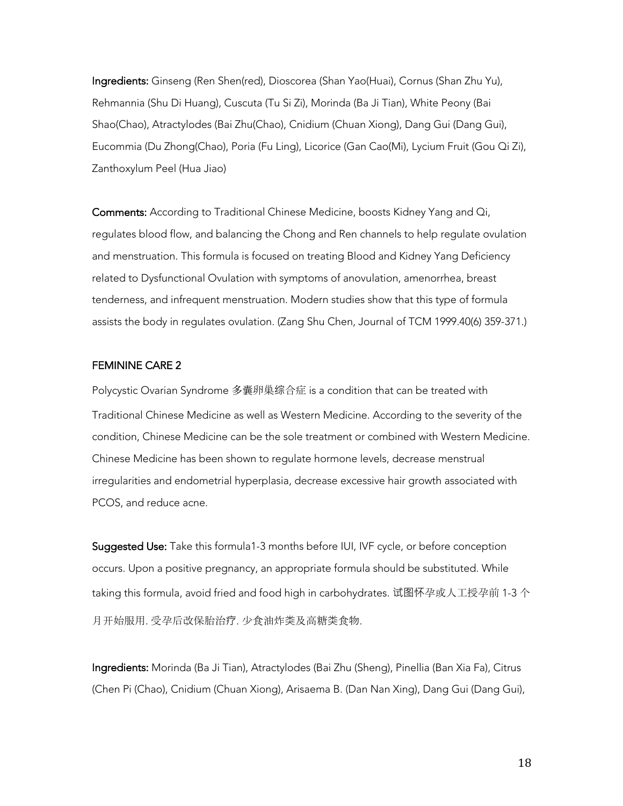Ingredients: Ginseng (Ren Shen(red), Dioscorea (Shan Yao(Huai), Cornus (Shan Zhu Yu), Rehmannia (Shu Di Huang), Cuscuta (Tu Si Zi), Morinda (Ba Ji Tian), White Peony (Bai Shao(Chao), Atractylodes (Bai Zhu(Chao), Cnidium (Chuan Xiong), Dang Gui (Dang Gui), Eucommia (Du Zhong(Chao), Poria (Fu Ling), Licorice (Gan Cao(Mi), Lycium Fruit (Gou Qi Zi), Zanthoxylum Peel (Hua Jiao)

Comments: According to Traditional Chinese Medicine, boosts Kidney Yang and Qi, regulates blood flow, and balancing the Chong and Ren channels to help regulate ovulation and menstruation. This formula is focused on treating Blood and Kidney Yang Deficiency related to Dysfunctional Ovulation with symptoms of anovulation, amenorrhea, breast tenderness, and infrequent menstruation. Modern studies show that this type of formula assists the body in regulates ovulation. (Zang Shu Chen, Journal of TCM 1999.40(6) 359-371.)

#### FEMININE CARE 2

Polycystic Ovarian Syndrome 多囊卵巢综合症 is a condition that can be treated with Traditional Chinese Medicine as well as Western Medicine. According to the severity of the condition, Chinese Medicine can be the sole treatment or combined with Western Medicine. Chinese Medicine has been shown to regulate hormone levels, decrease menstrual irregularities and endometrial hyperplasia, decrease excessive hair growth associated with PCOS, and reduce acne.

Suggested Use: Take this formula1-3 months before IUI, IVF cycle, or before conception occurs. Upon a positive pregnancy, an appropriate formula should be substituted. While taking this formula, avoid fried and food high in carbohydrates. 试图怀孕或人工授孕前 1-3 个 月开始服用. 受孕后改保胎治疗. 少食油炸类及高糖类食物.

Ingredients: Morinda (Ba Ji Tian), Atractylodes (Bai Zhu (Sheng), Pinellia (Ban Xia Fa), Citrus (Chen Pi (Chao), Cnidium (Chuan Xiong), Arisaema B. (Dan Nan Xing), Dang Gui (Dang Gui),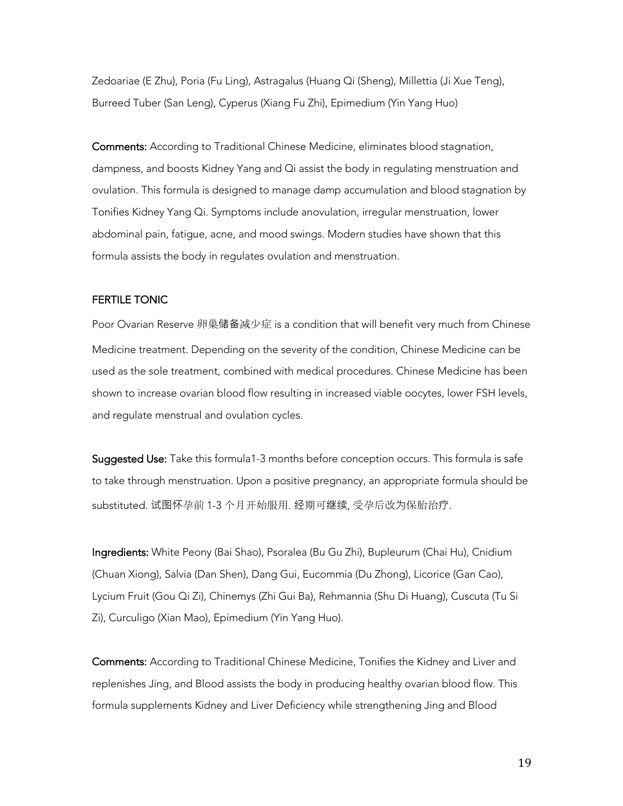Zedoariae (E Zhu), Poria (Fu Ling), Astragalus (Huang Qi (Sheng), Millettia (Ji Xue Teng), Burreed Tuber (San Leng), Cyperus (Xiang Fu Zhi), Epimedium (Yin Yang Huo)

Comments: According to Traditional Chinese Medicine, eliminates blood stagnation, dampness, and boosts Kidney Yang and Qi assist the body in regulating menstruation and ovulation. This formula is designed to manage damp accumulation and blood stagnation by Tonifies Kidney Yang Qi. Symptoms include anovulation, irregular menstruation, lower abdominal pain, fatigue, acne, and mood swings. Modern studies have shown that this formula assists the body in regulates ovulation and menstruation.

#### FERTILE TONIC

Poor Ovarian Reserve 卵巢储备减少症 is a condition that will benefit very much from Chinese Medicine treatment. Depending on the severity of the condition, Chinese Medicine can be used as the sole treatment, combined with medical procedures. Chinese Medicine has been shown to increase ovarian blood flow resulting in increased viable oocytes, lower FSH levels, and regulate menstrual and ovulation cycles.

Suggested Use: Take this formula1-3 months before conception occurs. This formula is safe to take through menstruation. Upon a positive pregnancy, an appropriate formula should be substituted. 试图怀孕前 1-3 个月开始服用. 经期可继续, 受孕后改为保胎治疗.

Ingredients: White Peony (Bai Shao), Psoralea (Bu Gu Zhi), Bupleurum (Chai Hu), Cnidium (Chuan Xiong), Salvia (Dan Shen), Dang Gui, Eucommia (Du Zhong), Licorice (Gan Cao), Lycium Fruit (Gou Qi Zi), Chinemys (Zhi Gui Ba), Rehmannia (Shu Di Huang), Cuscuta (Tu Si Zi), Curculigo (Xian Mao), Epimedium (Yin Yang Huo).

Comments: According to Traditional Chinese Medicine, Tonifies the Kidney and Liver and replenishes Jing, and Blood assists the body in producing healthy ovarian blood flow. This formula supplements Kidney and Liver Deficiency while strengthening Jing and Blood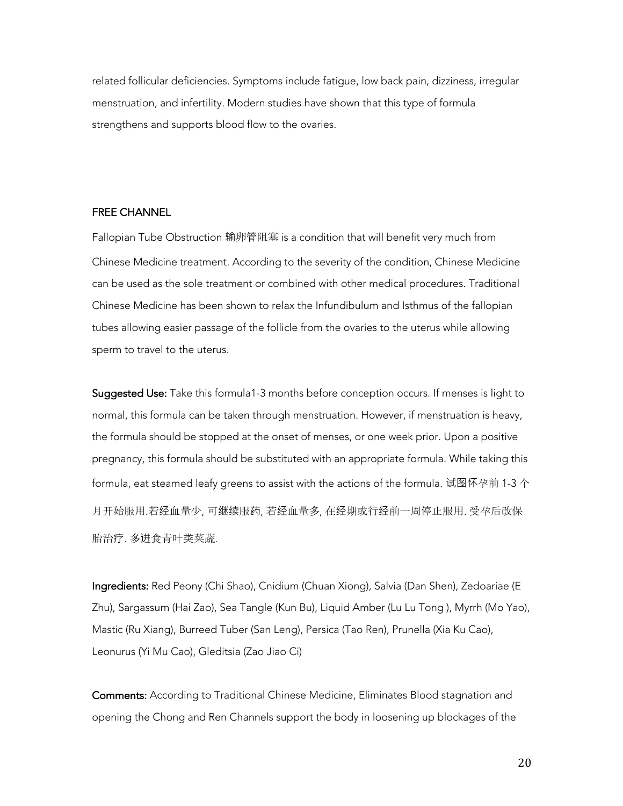related follicular deficiencies. Symptoms include fatigue, low back pain, dizziness, irregular menstruation, and infertility. Modern studies have shown that this type of formula strengthens and supports blood flow to the ovaries.

#### FREE CHANNEL

Fallopian Tube Obstruction 输卵管阻塞 is a condition that will benefit very much from Chinese Medicine treatment. According to the severity of the condition, Chinese Medicine can be used as the sole treatment or combined with other medical procedures. Traditional Chinese Medicine has been shown to relax the Infundibulum and Isthmus of the fallopian tubes allowing easier passage of the follicle from the ovaries to the uterus while allowing sperm to travel to the uterus.

Suggested Use: Take this formula1-3 months before conception occurs. If menses is light to normal, this formula can be taken through menstruation. However, if menstruation is heavy, the formula should be stopped at the onset of menses, or one week prior. Upon a positive pregnancy, this formula should be substituted with an appropriate formula. While taking this formula, eat steamed leafy greens to assist with the actions of the formula. 试图怀孕前 1-3 个 月开始服用.若经血量少, 可继续服药, 若经血量多, 在经期或行经前一周停止服用. 受孕后改保 胎治疗. 多进食青叶类菜蔬.

Ingredients: Red Peony (Chi Shao), Cnidium (Chuan Xiong), Salvia (Dan Shen), Zedoariae (E Zhu), Sargassum (Hai Zao), Sea Tangle (Kun Bu), Liquid Amber (Lu Lu Tong ), Myrrh (Mo Yao), Mastic (Ru Xiang), Burreed Tuber (San Leng), Persica (Tao Ren), Prunella (Xia Ku Cao), Leonurus (Yi Mu Cao), Gleditsia (Zao Jiao Ci)

Comments: According to Traditional Chinese Medicine, Eliminates Blood stagnation and opening the Chong and Ren Channels support the body in loosening up blockages of the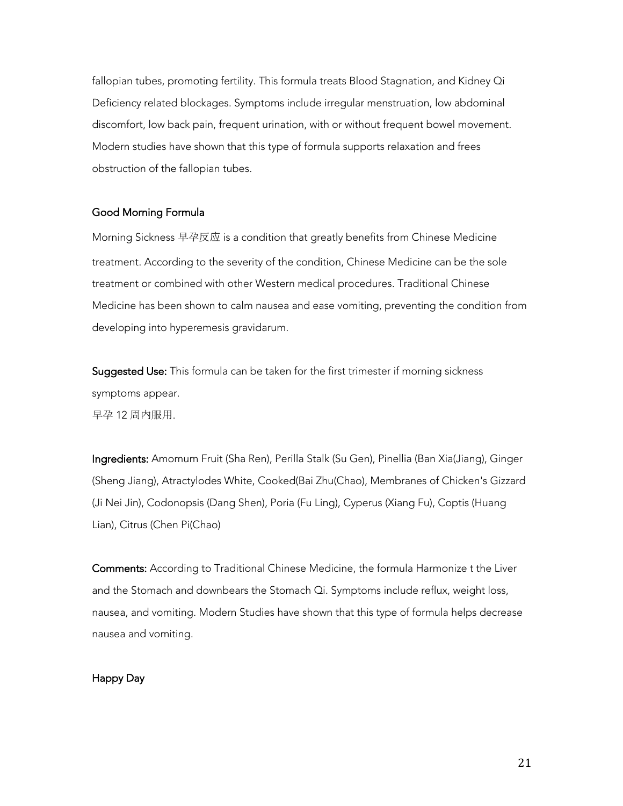fallopian tubes, promoting fertility. This formula treats Blood Stagnation, and Kidney Qi Deficiency related blockages. Symptoms include irregular menstruation, low abdominal discomfort, low back pain, frequent urination, with or without frequent bowel movement. Modern studies have shown that this type of formula supports relaxation and frees obstruction of the fallopian tubes.

### Good Morning Formula

Morning Sickness 早孕反应 is a condition that greatly benefits from Chinese Medicine treatment. According to the severity of the condition, Chinese Medicine can be the sole treatment or combined with other Western medical procedures. Traditional Chinese Medicine has been shown to calm nausea and ease vomiting, preventing the condition from developing into hyperemesis gravidarum.

Suggested Use: This formula can be taken for the first trimester if morning sickness symptoms appear. 早孕 12 周内服用.

Ingredients: Amomum Fruit (Sha Ren), Perilla Stalk (Su Gen), Pinellia (Ban Xia(Jiang), Ginger (Sheng Jiang), Atractylodes White, Cooked(Bai Zhu(Chao), Membranes of Chicken's Gizzard (Ji Nei Jin), Codonopsis (Dang Shen), Poria (Fu Ling), Cyperus (Xiang Fu), Coptis (Huang Lian), Citrus (Chen Pi(Chao)

Comments: According to Traditional Chinese Medicine, the formula Harmonize t the Liver and the Stomach and downbears the Stomach Qi. Symptoms include reflux, weight loss, nausea, and vomiting. Modern Studies have shown that this type of formula helps decrease nausea and vomiting.

## Happy Day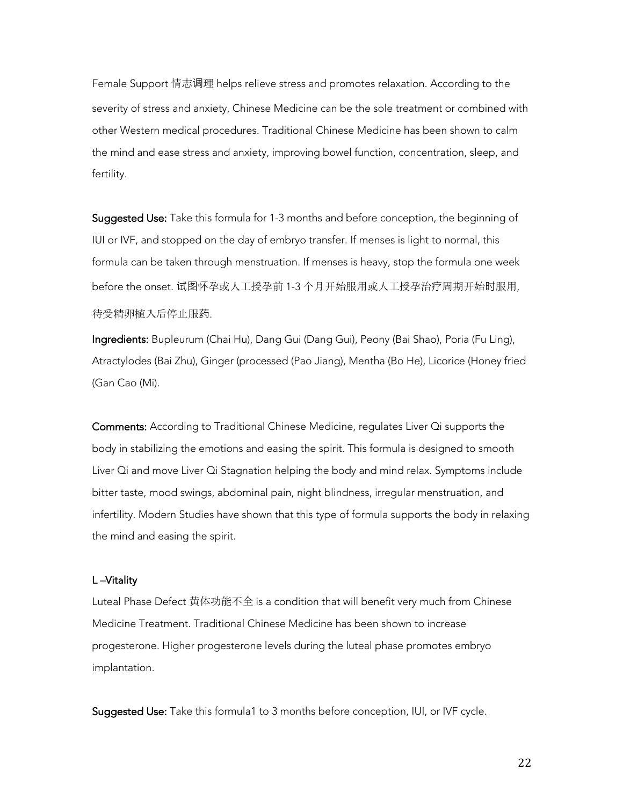Female Support 情志调理 helps relieve stress and promotes relaxation. According to the severity of stress and anxiety, Chinese Medicine can be the sole treatment or combined with other Western medical procedures. Traditional Chinese Medicine has been shown to calm the mind and ease stress and anxiety, improving bowel function, concentration, sleep, and fertility.

Suggested Use: Take this formula for 1-3 months and before conception, the beginning of IUI or IVF, and stopped on the day of embryo transfer. If menses is light to normal, this formula can be taken through menstruation. If menses is heavy, stop the formula one week before the onset. 试图怀孕或人工授孕前 1-3 个月开始服用或人工授孕治疗周期开始时服用, 待受精卵植入后停止服药.

Ingredients: Bupleurum (Chai Hu), Dang Gui (Dang Gui), Peony (Bai Shao), Poria (Fu Ling), Atractylodes (Bai Zhu), Ginger (processed (Pao Jiang), Mentha (Bo He), Licorice (Honey fried (Gan Cao (Mi).

Comments: According to Traditional Chinese Medicine, regulates Liver Qi supports the body in stabilizing the emotions and easing the spirit. This formula is designed to smooth Liver Qi and move Liver Qi Stagnation helping the body and mind relax. Symptoms include bitter taste, mood swings, abdominal pain, night blindness, irregular menstruation, and infertility. Modern Studies have shown that this type of formula supports the body in relaxing the mind and easing the spirit.

#### L –Vitality

Luteal Phase Defect 黄体功能不全 is a condition that will benefit very much from Chinese Medicine Treatment. Traditional Chinese Medicine has been shown to increase progesterone. Higher progesterone levels during the luteal phase promotes embryo implantation.

Suggested Use: Take this formula1 to 3 months before conception, IUI, or IVF cycle.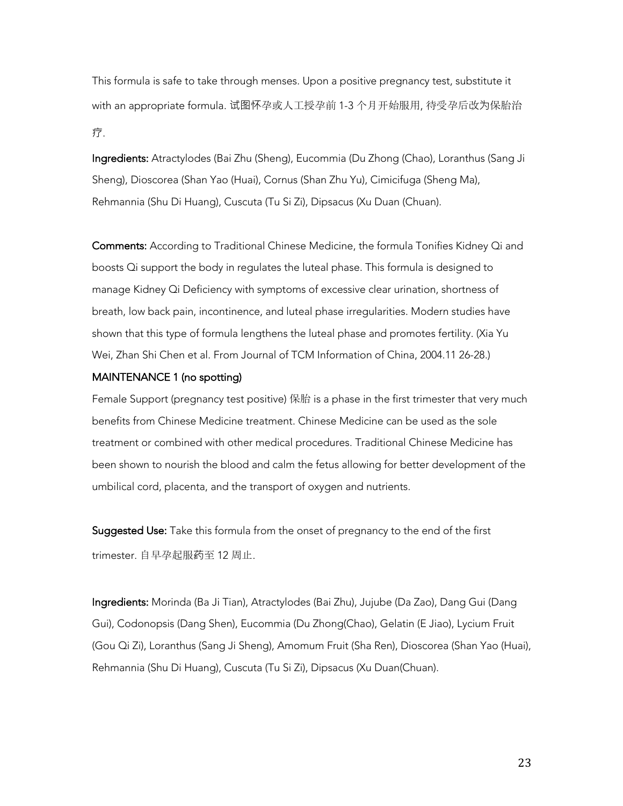This formula is safe to take through menses. Upon a positive pregnancy test, substitute it with an appropriate formula. 试图怀孕或人工授孕前 1-3 个月开始服用, 待受孕后改为保胎治 疗.

Ingredients: Atractylodes (Bai Zhu (Sheng), Eucommia (Du Zhong (Chao), Loranthus (Sang Ji Sheng), Dioscorea (Shan Yao (Huai), Cornus (Shan Zhu Yu), Cimicifuga (Sheng Ma), Rehmannia (Shu Di Huang), Cuscuta (Tu Si Zi), Dipsacus (Xu Duan (Chuan).

Comments: According to Traditional Chinese Medicine, the formula Tonifies Kidney Qi and boosts Qi support the body in regulates the luteal phase. This formula is designed to manage Kidney Qi Deficiency with symptoms of excessive clear urination, shortness of breath, low back pain, incontinence, and luteal phase irregularities. Modern studies have shown that this type of formula lengthens the luteal phase and promotes fertility. (Xia Yu Wei, Zhan Shi Chen et al. From Journal of TCM Information of China, 2004.11 26-28.)

## MAINTENANCE 1 (no spotting)

Female Support (pregnancy test positive) 保胎 is a phase in the first trimester that very much benefits from Chinese Medicine treatment. Chinese Medicine can be used as the sole treatment or combined with other medical procedures. Traditional Chinese Medicine has been shown to nourish the blood and calm the fetus allowing for better development of the umbilical cord, placenta, and the transport of oxygen and nutrients.

Suggested Use: Take this formula from the onset of pregnancy to the end of the first trimester. 自早孕起服药至 12 周止.

Ingredients: Morinda (Ba Ji Tian), Atractylodes (Bai Zhu), Jujube (Da Zao), Dang Gui (Dang Gui), Codonopsis (Dang Shen), Eucommia (Du Zhong(Chao), Gelatin (E Jiao), Lycium Fruit (Gou Qi Zi), Loranthus (Sang Ji Sheng), Amomum Fruit (Sha Ren), Dioscorea (Shan Yao (Huai), Rehmannia (Shu Di Huang), Cuscuta (Tu Si Zi), Dipsacus (Xu Duan(Chuan).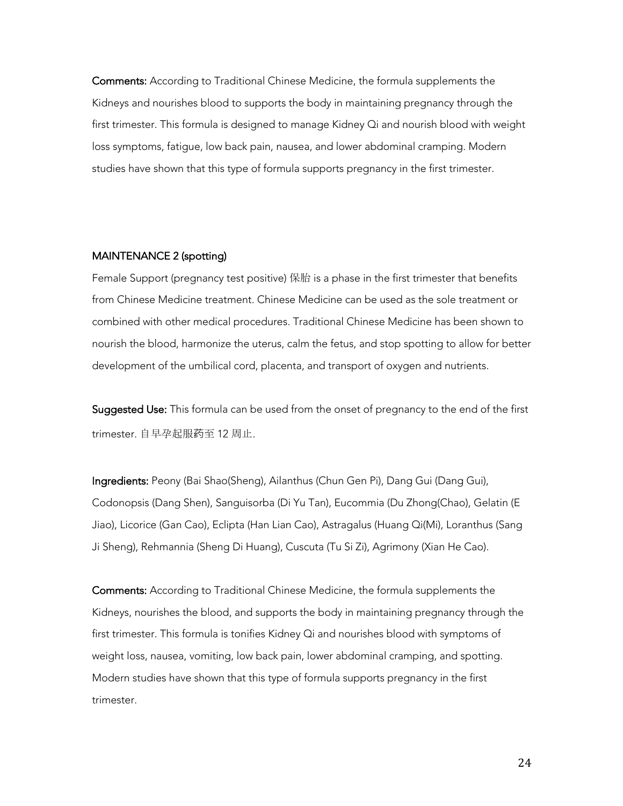Comments: According to Traditional Chinese Medicine, the formula supplements the Kidneys and nourishes blood to supports the body in maintaining pregnancy through the first trimester. This formula is designed to manage Kidney Qi and nourish blood with weight loss symptoms, fatigue, low back pain, nausea, and lower abdominal cramping. Modern studies have shown that this type of formula supports pregnancy in the first trimester.

#### MAINTENANCE 2 (spotting)

Female Support (pregnancy test positive) 保胎 is a phase in the first trimester that benefits from Chinese Medicine treatment. Chinese Medicine can be used as the sole treatment or combined with other medical procedures. Traditional Chinese Medicine has been shown to nourish the blood, harmonize the uterus, calm the fetus, and stop spotting to allow for better development of the umbilical cord, placenta, and transport of oxygen and nutrients.

Suggested Use: This formula can be used from the onset of pregnancy to the end of the first trimester. 自早孕起服药至 12 周止.

Ingredients: Peony (Bai Shao(Sheng), Ailanthus (Chun Gen Pi), Dang Gui (Dang Gui), Codonopsis (Dang Shen), Sanguisorba (Di Yu Tan), Eucommia (Du Zhong(Chao), Gelatin (E Jiao), Licorice (Gan Cao), Eclipta (Han Lian Cao), Astragalus (Huang Qi(Mi), Loranthus (Sang Ji Sheng), Rehmannia (Sheng Di Huang), Cuscuta (Tu Si Zi), Agrimony (Xian He Cao).

Comments: According to Traditional Chinese Medicine, the formula supplements the Kidneys, nourishes the blood, and supports the body in maintaining pregnancy through the first trimester. This formula is tonifies Kidney Qi and nourishes blood with symptoms of weight loss, nausea, vomiting, low back pain, lower abdominal cramping, and spotting. Modern studies have shown that this type of formula supports pregnancy in the first trimester.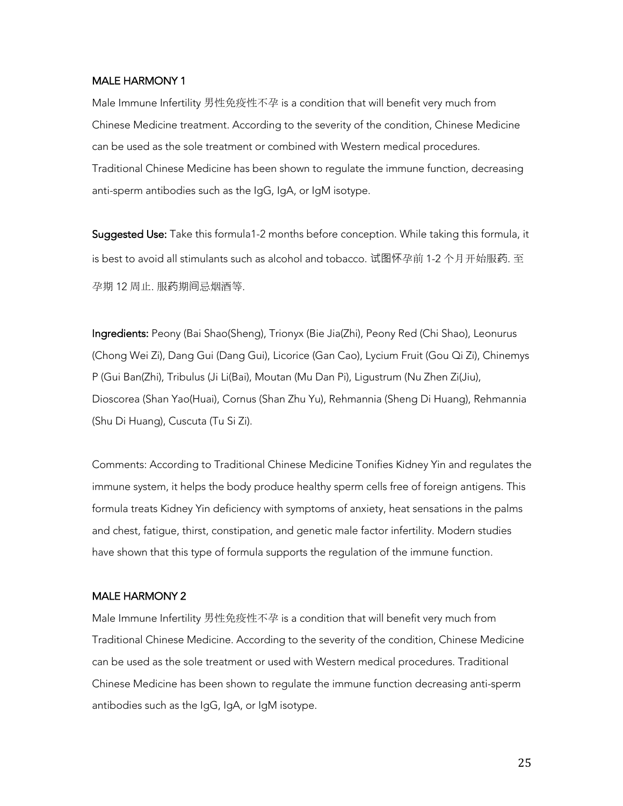#### MALE HARMONY 1

Male Immune Infertility 男性免疫性不孕 is a condition that will benefit very much from Chinese Medicine treatment. According to the severity of the condition, Chinese Medicine can be used as the sole treatment or combined with Western medical procedures. Traditional Chinese Medicine has been shown to regulate the immune function, decreasing anti-sperm antibodies such as the IgG, IgA, or IgM isotype.

Suggested Use: Take this formula1-2 months before conception. While taking this formula, it is best to avoid all stimulants such as alcohol and tobacco. 试图怀孕前 1-2 个月开始服药. 至 孕期 12 周止. 服药期间忌烟酒等.

Ingredients: Peony (Bai Shao(Sheng), Trionyx (Bie Jia(Zhi), Peony Red (Chi Shao), Leonurus (Chong Wei Zi), Dang Gui (Dang Gui), Licorice (Gan Cao), Lycium Fruit (Gou Qi Zi), Chinemys P (Gui Ban(Zhi), Tribulus (Ji Li(Bai), Moutan (Mu Dan Pi), Ligustrum (Nu Zhen Zi(Jiu), Dioscorea (Shan Yao(Huai), Cornus (Shan Zhu Yu), Rehmannia (Sheng Di Huang), Rehmannia (Shu Di Huang), Cuscuta (Tu Si Zi).

Comments: According to Traditional Chinese Medicine Tonifies Kidney Yin and regulates the immune system, it helps the body produce healthy sperm cells free of foreign antigens. This formula treats Kidney Yin deficiency with symptoms of anxiety, heat sensations in the palms and chest, fatigue, thirst, constipation, and genetic male factor infertility. Modern studies have shown that this type of formula supports the regulation of the immune function.

### MALE HARMONY 2

Male Immune Infertility 男性免疫性不孕 is a condition that will benefit very much from Traditional Chinese Medicine. According to the severity of the condition, Chinese Medicine can be used as the sole treatment or used with Western medical procedures. Traditional Chinese Medicine has been shown to regulate the immune function decreasing anti-sperm antibodies such as the IgG, IgA, or IgM isotype.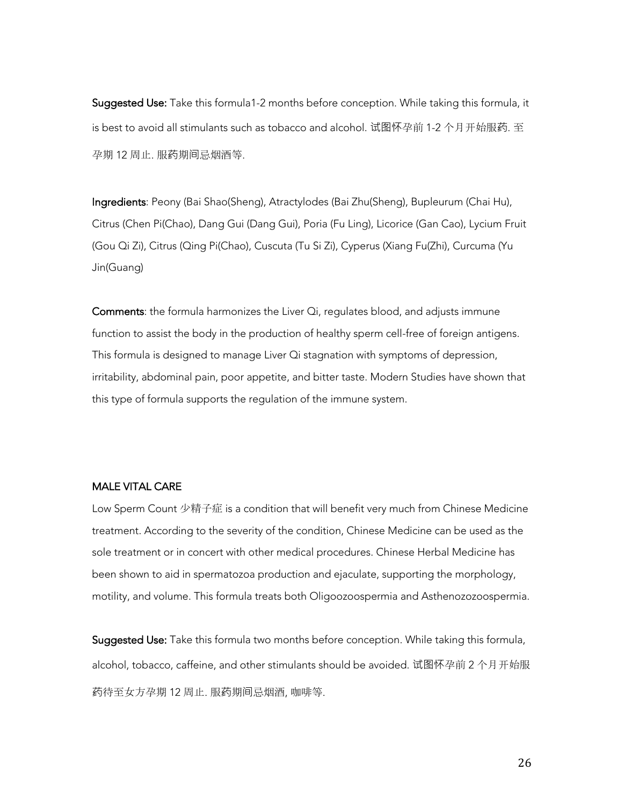Suggested Use: Take this formula1-2 months before conception. While taking this formula, it is best to avoid all stimulants such as tobacco and alcohol. 试图怀孕前 1-2 个月开始服药. 至 孕期 12 周止. 服药期间忌烟酒等.

Ingredients: Peony (Bai Shao(Sheng), Atractylodes (Bai Zhu(Sheng), Bupleurum (Chai Hu), Citrus (Chen Pi(Chao), Dang Gui (Dang Gui), Poria (Fu Ling), Licorice (Gan Cao), Lycium Fruit (Gou Qi Zi), Citrus (Qing Pi(Chao), Cuscuta (Tu Si Zi), Cyperus (Xiang Fu(Zhi), Curcuma (Yu Jin(Guang)

Comments: the formula harmonizes the Liver Qi, regulates blood, and adjusts immune function to assist the body in the production of healthy sperm cell-free of foreign antigens. This formula is designed to manage Liver Qi stagnation with symptoms of depression, irritability, abdominal pain, poor appetite, and bitter taste. Modern Studies have shown that this type of formula supports the regulation of the immune system.

## MALE VITAL CARE

Low Sperm Count 少精子症 is a condition that will benefit very much from Chinese Medicine treatment. According to the severity of the condition, Chinese Medicine can be used as the sole treatment or in concert with other medical procedures. Chinese Herbal Medicine has been shown to aid in spermatozoa production and ejaculate, supporting the morphology, motility, and volume. This formula treats both Oligoozoospermia and Asthenozozoospermia.

Suggested Use: Take this formula two months before conception. While taking this formula, alcohol, tobacco, caffeine, and other stimulants should be avoided. 试图怀孕前 2 个月开始服 药待至女方孕期 12 周止. 服药期间忌烟酒, 咖啡等.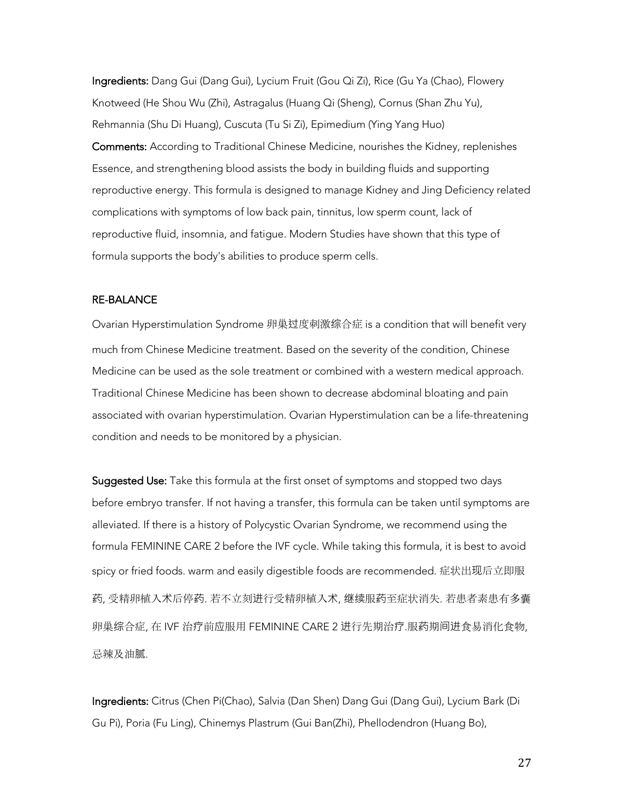Ingredients: Dang Gui (Dang Gui), Lycium Fruit (Gou Qi Zi), Rice (Gu Ya (Chao), Flowery Knotweed (He Shou Wu (Zhi), Astragalus (Huang Qi (Sheng), Cornus (Shan Zhu Yu), Rehmannia (Shu Di Huang), Cuscuta (Tu Si Zi), Epimedium (Ying Yang Huo) Comments: According to Traditional Chinese Medicine, nourishes the Kidney, replenishes Essence, and strengthening blood assists the body in building fluids and supporting reproductive energy. This formula is designed to manage Kidney and Jing Deficiency related complications with symptoms of low back pain, tinnitus, low sperm count, lack of reproductive fluid, insomnia, and fatigue. Modern Studies have shown that this type of formula supports the body's abilities to produce sperm cells.

#### RE-BALANCE

Ovarian Hyperstimulation Syndrome 卵巢过度刺激综合症 is a condition that will benefit very much from Chinese Medicine treatment. Based on the severity of the condition, Chinese Medicine can be used as the sole treatment or combined with a western medical approach. Traditional Chinese Medicine has been shown to decrease abdominal bloating and pain associated with ovarian hyperstimulation. Ovarian Hyperstimulation can be a life-threatening condition and needs to be monitored by a physician.

Suggested Use: Take this formula at the first onset of symptoms and stopped two days before embryo transfer. If not having a transfer, this formula can be taken until symptoms are alleviated. If there is a history of Polycystic Ovarian Syndrome, we recommend using the formula FEMININE CARE 2 before the IVF cycle. While taking this formula, it is best to avoid spicy or fried foods. warm and easily digestible foods are recommended. 症状出现后立即服 药, 受精卵植入术后停药. 若不立刻进行受精卵植入术, 继续服药至症状消失. 若患者素患有多囊 卵巢综合症, 在 IVF 治疗前应服用 FEMININE CARE 2 进行先期治疗.服药期间进食易消化食物, 忌辣及油腻.

Ingredients: Citrus (Chen Pi(Chao), Salvia (Dan Shen) Dang Gui (Dang Gui), Lycium Bark (Di Gu Pi), Poria (Fu Ling), Chinemys Plastrum (Gui Ban(Zhi), Phellodendron (Huang Bo),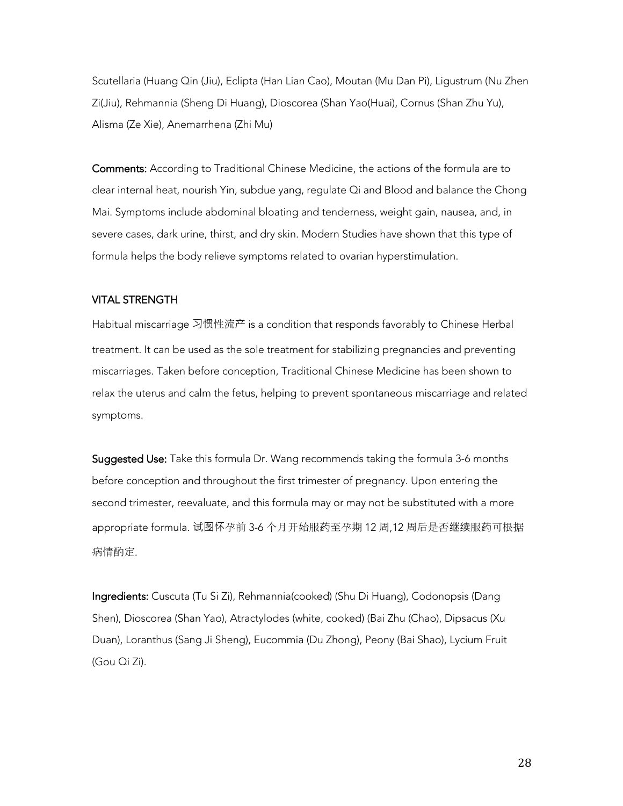Scutellaria (Huang Qin (Jiu), Eclipta (Han Lian Cao), Moutan (Mu Dan Pi), Ligustrum (Nu Zhen Zi(Jiu), Rehmannia (Sheng Di Huang), Dioscorea (Shan Yao(Huai), Cornus (Shan Zhu Yu), Alisma (Ze Xie), Anemarrhena (Zhi Mu)

Comments: According to Traditional Chinese Medicine, the actions of the formula are to clear internal heat, nourish Yin, subdue yang, regulate Qi and Blood and balance the Chong Mai. Symptoms include abdominal bloating and tenderness, weight gain, nausea, and, in severe cases, dark urine, thirst, and dry skin. Modern Studies have shown that this type of formula helps the body relieve symptoms related to ovarian hyperstimulation.

#### VITAL STRENGTH

Habitual miscarriage 习惯性流产 is a condition that responds favorably to Chinese Herbal treatment. It can be used as the sole treatment for stabilizing pregnancies and preventing miscarriages. Taken before conception, Traditional Chinese Medicine has been shown to relax the uterus and calm the fetus, helping to prevent spontaneous miscarriage and related symptoms.

Suggested Use: Take this formula Dr. Wang recommends taking the formula 3-6 months before conception and throughout the first trimester of pregnancy. Upon entering the second trimester, reevaluate, and this formula may or may not be substituted with a more appropriate formula. 试图怀孕前 3-6 个月开始服药至孕期 12 周,12 周后是否继续服药可根据 病情酌定.

Ingredients: Cuscuta (Tu Si Zi), Rehmannia(cooked) (Shu Di Huang), Codonopsis (Dang Shen), Dioscorea (Shan Yao), Atractylodes (white, cooked) (Bai Zhu (Chao), Dipsacus (Xu Duan), Loranthus (Sang Ji Sheng), Eucommia (Du Zhong), Peony (Bai Shao), Lycium Fruit (Gou Qi Zi).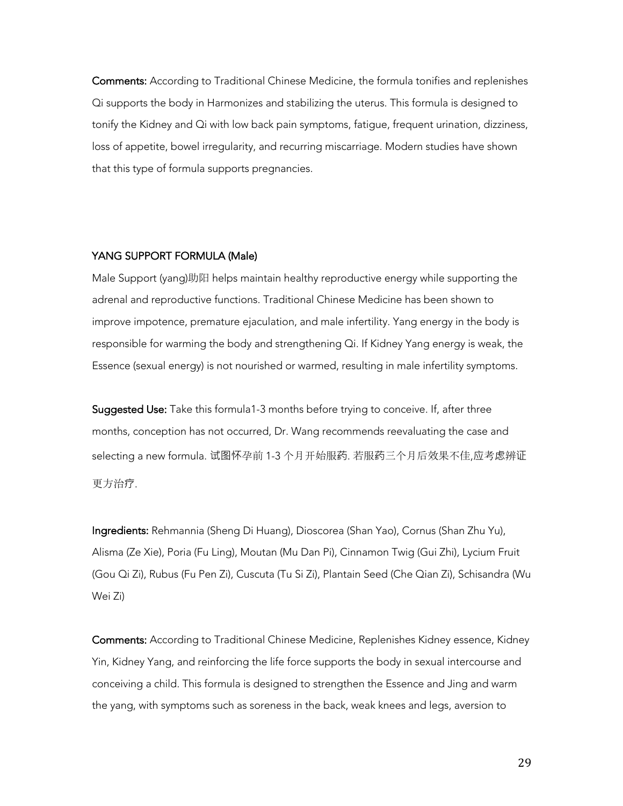Comments: According to Traditional Chinese Medicine, the formula tonifies and replenishes Qi supports the body in Harmonizes and stabilizing the uterus. This formula is designed to tonify the Kidney and Qi with low back pain symptoms, fatigue, frequent urination, dizziness, loss of appetite, bowel irregularity, and recurring miscarriage. Modern studies have shown that this type of formula supports pregnancies.

#### YANG SUPPORT FORMULA (Male)

Male Support (yang)助阳 helps maintain healthy reproductive energy while supporting the adrenal and reproductive functions. Traditional Chinese Medicine has been shown to improve impotence, premature ejaculation, and male infertility. Yang energy in the body is responsible for warming the body and strengthening Qi. If Kidney Yang energy is weak, the Essence (sexual energy) is not nourished or warmed, resulting in male infertility symptoms.

Suggested Use: Take this formula1-3 months before trying to conceive. If, after three months, conception has not occurred, Dr. Wang recommends reevaluating the case and selecting a new formula. 试图怀孕前 1-3 个月开始服药. 若服药三个月后效果不佳,应考虑辨证 更方治疗.

Ingredients: Rehmannia (Sheng Di Huang), Dioscorea (Shan Yao), Cornus (Shan Zhu Yu), Alisma (Ze Xie), Poria (Fu Ling), Moutan (Mu Dan Pi), Cinnamon Twig (Gui Zhi), Lycium Fruit (Gou Qi Zi), Rubus (Fu Pen Zi), Cuscuta (Tu Si Zi), Plantain Seed (Che Qian Zi), Schisandra (Wu Wei Zi)

Comments: According to Traditional Chinese Medicine, Replenishes Kidney essence, Kidney Yin, Kidney Yang, and reinforcing the life force supports the body in sexual intercourse and conceiving a child. This formula is designed to strengthen the Essence and Jing and warm the yang, with symptoms such as soreness in the back, weak knees and legs, aversion to